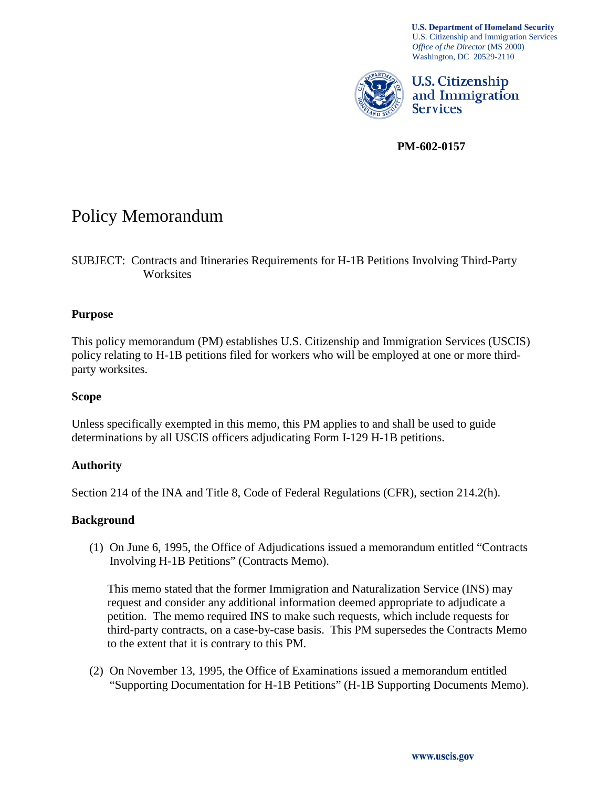**U.S. Department of Homeland Security** U.S. Citizenship and Immigration Services *Office of the Director* (MS 2000) Washington, DC 20529-2110



U.S. Citizenship and Immigration **Services** 

**PM-602-0157**

# Policy Memorandum

SUBJECT: Contracts and Itineraries Requirements for H-1B Petitions Involving Third-Party Worksites

## **Purpose**

This policy memorandum (PM) establishes U.S. Citizenship and Immigration Services (USCIS) policy relating to H-1B petitions filed for workers who will be employed at one or more thirdparty worksites.

## **Scope**

Unless specifically exempted in this memo, this PM applies to and shall be used to guide determinations by all USCIS officers adjudicating Form I-129 H-1B petitions.

# **Authority**

Section 214 of the INA and Title 8, Code of Federal Regulations (CFR), section 214.2(h).

## **Background**

(1) On June 6, 1995, the Office of Adjudications issued a memorandum entitled "Contracts Involving H-1B Petitions" (Contracts Memo).

This memo stated that the former Immigration and Naturalization Service (INS) may request and consider any additional information deemed appropriate to adjudicate a petition. The memo required INS to make such requests, which include requests for third-party contracts, on a case-by-case basis. This PM supersedes the Contracts Memo to the extent that it is contrary to this PM.

(2) On November 13, 1995, the Office of Examinations issued a memorandum entitled "Supporting Documentation for H-1B Petitions" (H-1B Supporting Documents Memo).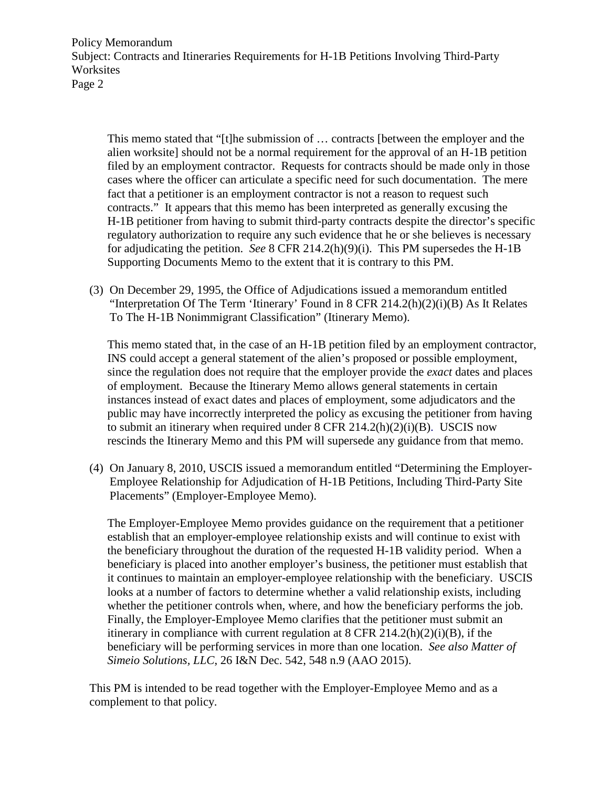This memo stated that "[t]he submission of … contracts [between the employer and the alien worksite] should not be a normal requirement for the approval of an H-1B petition filed by an employment contractor. Requests for contracts should be made only in those cases where the officer can articulate a specific need for such documentation. The mere fact that a petitioner is an employment contractor is not a reason to request such contracts." It appears that this memo has been interpreted as generally excusing the H-1B petitioner from having to submit third-party contracts despite the director's specific regulatory authorization to require any such evidence that he or she believes is necessary for adjudicating the petition. *See* 8 CFR 214.2(h)(9)(i). This PM supersedes the H-1B Supporting Documents Memo to the extent that it is contrary to this PM.

(3) On December 29, 1995, the Office of Adjudications issued a memorandum entitled "Interpretation Of The Term 'Itinerary' Found in 8 CFR 214.2(h)(2)(i)(B) As It Relates To The H-1B Nonimmigrant Classification" (Itinerary Memo).

This memo stated that, in the case of an H-1B petition filed by an employment contractor, INS could accept a general statement of the alien's proposed or possible employment, since the regulation does not require that the employer provide the *exact* dates and places of employment. Because the Itinerary Memo allows general statements in certain instances instead of exact dates and places of employment, some adjudicators and the public may have incorrectly interpreted the policy as excusing the petitioner from having to submit an itinerary when required under  $8$  CFR 214.2(h)(2)(i)(B). USCIS now rescinds the Itinerary Memo and this PM will supersede any guidance from that memo.

(4) On January 8, 2010, USCIS issued a memorandum entitled "Determining the Employer-Employee Relationship for Adjudication of H-1B Petitions, Including Third-Party Site Placements" (Employer-Employee Memo).

The Employer-Employee Memo provides guidance on the requirement that a petitioner establish that an employer-employee relationship exists and will continue to exist with the beneficiary throughout the duration of the requested H-1B validity period. When a beneficiary is placed into another employer's business, the petitioner must establish that it continues to maintain an employer-employee relationship with the beneficiary. USCIS looks at a number of factors to determine whether a valid relationship exists, including whether the petitioner controls when, where, and how the beneficiary performs the job. Finally, the Employer-Employee Memo clarifies that the petitioner must submit an itinerary in compliance with current regulation at  $8$  CFR 214.2(h)(2)(i)(B), if the beneficiary will be performing services in more than one location. *See also Matter of Simeio Solutions, LLC*, 26 I&N Dec. 542, 548 n.9 (AAO 2015).

This PM is intended to be read together with the Employer-Employee Memo and as a complement to that policy.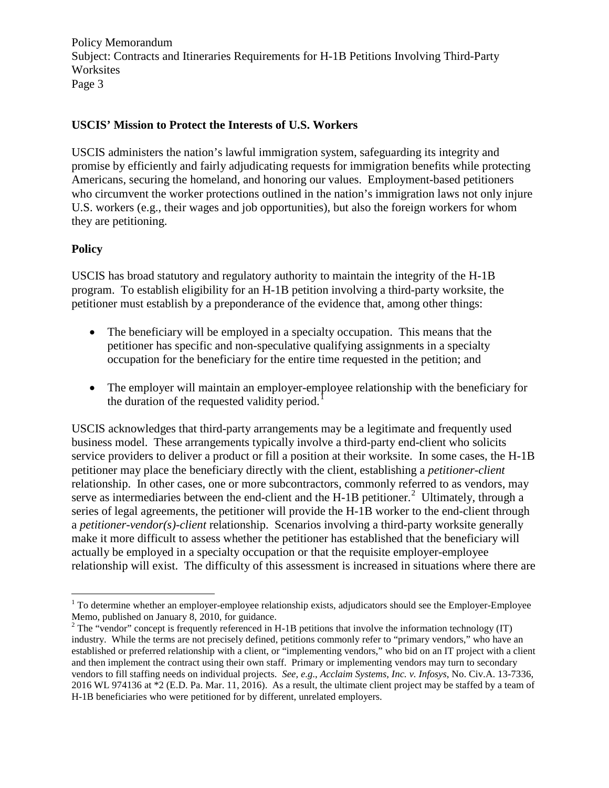## **USCIS' Mission to Protect the Interests of U.S. Workers**

USCIS administers the nation's lawful immigration system, safeguarding its integrity and promise by efficiently and fairly adjudicating requests for immigration benefits while protecting Americans, securing the homeland, and honoring our values. Employment-based petitioners who circumvent the worker protections outlined in the nation's immigration laws not only injure U.S. workers (e.g., their wages and job opportunities), but also the foreign workers for whom they are petitioning.

## **Policy**

USCIS has broad statutory and regulatory authority to maintain the integrity of the H-1B program. To establish eligibility for an H-1B petition involving a third-party worksite, the petitioner must establish by a preponderance of the evidence that, among other things:

- The beneficiary will be employed in a specialty occupation. This means that the petitioner has specific and non-speculative qualifying assignments in a specialty occupation for the beneficiary for the entire time requested in the petition; and
- The employer will maintain an employer-employee relationship with the beneficiary for the duration of the requested validity period.<sup>[1](#page-2-0)</sup>

USCIS acknowledges that third-party arrangements may be a legitimate and frequently used business model. These arrangements typically involve a third-party end-client who solicits service providers to deliver a product or fill a position at their worksite. In some cases, the H-1B petitioner may place the beneficiary directly with the client, establishing a *petitioner-client*  relationship. In other cases, one or more subcontractors, commonly referred to as vendors, may serve as intermediaries between the end-client and the H-1B petitioner.<sup>[2](#page-2-1)</sup> Ultimately, through a series of legal agreements, the petitioner will provide the H-1B worker to the end-client through a *petitioner-vendor(s)-client* relationship. Scenarios involving a third-party worksite generally make it more difficult to assess whether the petitioner has established that the beneficiary will actually be employed in a specialty occupation or that the requisite employer-employee relationship will exist. The difficulty of this assessment is increased in situations where there are

<span id="page-2-0"></span> $<sup>1</sup>$  To determine whether an employer-employee relationship exists, adjudicators should see the Employer-Employee</sup> Memo, published on January 8, 2010, for guidance.

<span id="page-2-1"></span><sup>&</sup>lt;sup>2</sup> The "vendor" concept is frequently referenced in H-1B petitions that involve the information technology (IT) industry. While the terms are not precisely defined, petitions commonly refer to "primary vendors," who have an established or preferred relationship with a client, or "implementing vendors," who bid on an IT project with a client and then implement the contract using their own staff. Primary or implementing vendors may turn to secondary vendors to fill staffing needs on individual projects. *See, e.g*., *Acclaim Systems, Inc. v. Infosys*, No. Civ.A. 13-7336, 2016 WL 974136 at \*2 (E.D. Pa. Mar. 11, 2016). As a result, the ultimate client project may be staffed by a team of H-1B beneficiaries who were petitioned for by different, unrelated employers.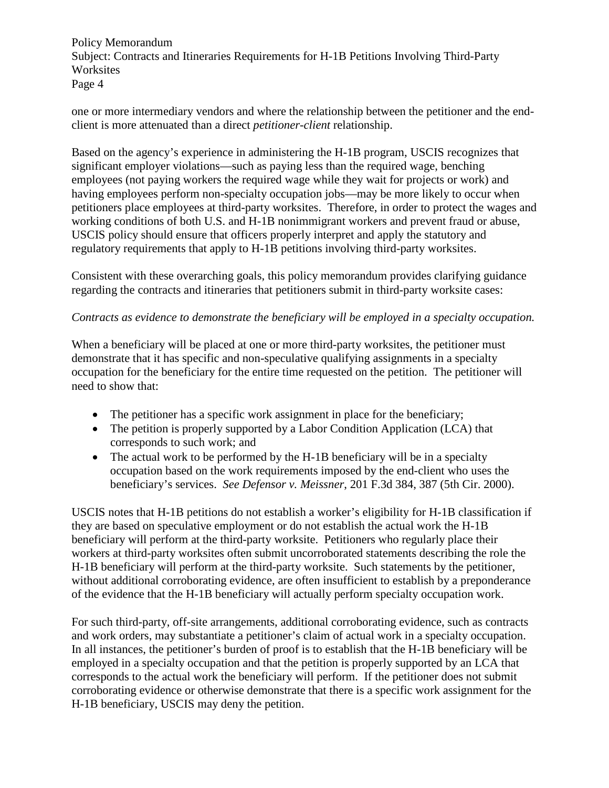one or more intermediary vendors and where the relationship between the petitioner and the endclient is more attenuated than a direct *petitioner-client* relationship.

Based on the agency's experience in administering the H-1B program, USCIS recognizes that significant employer violations—such as paying less than the required wage, benching employees (not paying workers the required wage while they wait for projects or work) and having employees perform non-specialty occupation jobs—may be more likely to occur when petitioners place employees at third-party worksites. Therefore, in order to protect the wages and working conditions of both U.S. and H-1B nonimmigrant workers and prevent fraud or abuse, USCIS policy should ensure that officers properly interpret and apply the statutory and regulatory requirements that apply to H-1B petitions involving third-party worksites.

Consistent with these overarching goals, this policy memorandum provides clarifying guidance regarding the contracts and itineraries that petitioners submit in third-party worksite cases:

# *Contracts as evidence to demonstrate the beneficiary will be employed in a specialty occupation.*

When a beneficiary will be placed at one or more third-party worksites, the petitioner must demonstrate that it has specific and non-speculative qualifying assignments in a specialty occupation for the beneficiary for the entire time requested on the petition. The petitioner will need to show that:

- The petitioner has a specific work assignment in place for the beneficiary;
- The petition is properly supported by a Labor Condition Application (LCA) that corresponds to such work; and
- The actual work to be performed by the H-1B beneficiary will be in a specialty occupation based on the work requirements imposed by the end-client who uses the beneficiary's services. *See Defensor v. Meissner*, 201 F.3d 384, 387 (5th Cir. 2000).

USCIS notes that H-1B petitions do not establish a worker's eligibility for H-1B classification if they are based on speculative employment or do not establish the actual work the H-1B beneficiary will perform at the third-party worksite. Petitioners who regularly place their workers at third-party worksites often submit uncorroborated statements describing the role the H-1B beneficiary will perform at the third-party worksite. Such statements by the petitioner, without additional corroborating evidence, are often insufficient to establish by a preponderance of the evidence that the H-1B beneficiary will actually perform specialty occupation work.

For such third-party, off-site arrangements, additional corroborating evidence, such as contracts and work orders, may substantiate a petitioner's claim of actual work in a specialty occupation. In all instances, the petitioner's burden of proof is to establish that the H-1B beneficiary will be employed in a specialty occupation and that the petition is properly supported by an LCA that corresponds to the actual work the beneficiary will perform. If the petitioner does not submit corroborating evidence or otherwise demonstrate that there is a specific work assignment for the H-1B beneficiary, USCIS may deny the petition.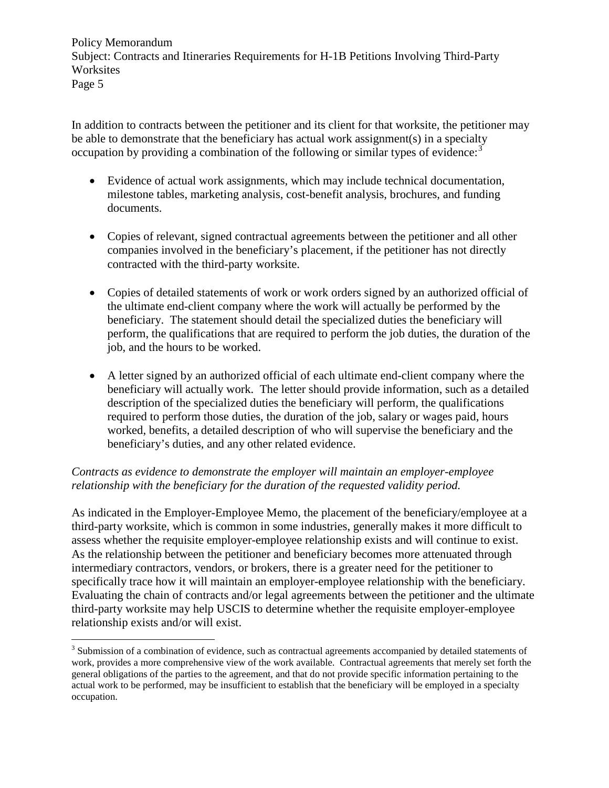In addition to contracts between the petitioner and its client for that worksite, the petitioner may be able to demonstrate that the beneficiary has actual work assignment(s) in a specialty occupation by providing a combination of the following or similar types of evidence.<sup>[3](#page-4-0)</sup>

- Evidence of actual work assignments, which may include technical documentation, milestone tables, marketing analysis, cost-benefit analysis, brochures, and funding documents.
- Copies of relevant, signed contractual agreements between the petitioner and all other companies involved in the beneficiary's placement, if the petitioner has not directly contracted with the third-party worksite.
- Copies of detailed statements of work or work orders signed by an authorized official of the ultimate end-client company where the work will actually be performed by the beneficiary. The statement should detail the specialized duties the beneficiary will perform, the qualifications that are required to perform the job duties, the duration of the job, and the hours to be worked.
- A letter signed by an authorized official of each ultimate end-client company where the beneficiary will actually work. The letter should provide information, such as a detailed description of the specialized duties the beneficiary will perform, the qualifications required to perform those duties, the duration of the job, salary or wages paid, hours worked, benefits, a detailed description of who will supervise the beneficiary and the beneficiary's duties, and any other related evidence.

# *Contracts as evidence to demonstrate the employer will maintain an employer-employee relationship with the beneficiary for the duration of the requested validity period.*

As indicated in the Employer-Employee Memo, the placement of the beneficiary/employee at a third-party worksite, which is common in some industries, generally makes it more difficult to assess whether the requisite employer-employee relationship exists and will continue to exist. As the relationship between the petitioner and beneficiary becomes more attenuated through intermediary contractors, vendors, or brokers, there is a greater need for the petitioner to specifically trace how it will maintain an employer-employee relationship with the beneficiary. Evaluating the chain of contracts and/or legal agreements between the petitioner and the ultimate third-party worksite may help USCIS to determine whether the requisite employer-employee relationship exists and/or will exist.

<span id="page-4-0"></span><sup>&</sup>lt;sup>3</sup> Submission of a combination of evidence, such as contractual agreements accompanied by detailed statements of work, provides a more comprehensive view of the work available. Contractual agreements that merely set forth the general obligations of the parties to the agreement, and that do not provide specific information pertaining to the actual work to be performed, may be insufficient to establish that the beneficiary will be employed in a specialty occupation.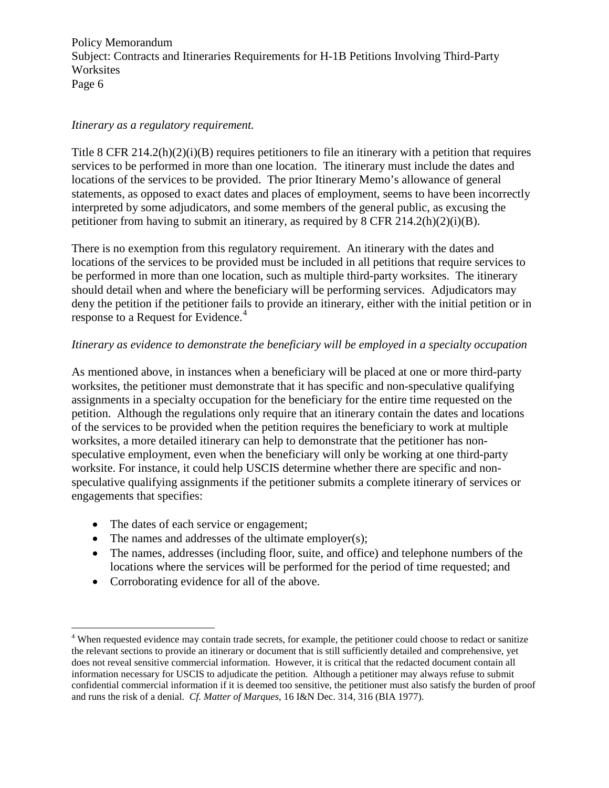#### *Itinerary as a regulatory requirement.*

Title 8 CFR  $214.2(h)(2)(i)(B)$  requires petitioners to file an itinerary with a petition that requires services to be performed in more than one location. The itinerary must include the dates and locations of the services to be provided. The prior Itinerary Memo's allowance of general statements, as opposed to exact dates and places of employment, seems to have been incorrectly interpreted by some adjudicators, and some members of the general public, as excusing the petitioner from having to submit an itinerary, as required by 8 CFR 214.2(h)(2)(i)(B).

There is no exemption from this regulatory requirement. An itinerary with the dates and locations of the services to be provided must be included in all petitions that require services to be performed in more than one location, such as multiple third-party worksites. The itinerary should detail when and where the beneficiary will be performing services. Adjudicators may deny the petition if the petitioner fails to provide an itinerary, either with the initial petition or in response to a Request for Evidence.<sup>[4](#page-5-0)</sup>

## *Itinerary as evidence to demonstrate the beneficiary will be employed in a specialty occupation*

As mentioned above, in instances when a beneficiary will be placed at one or more third-party worksites, the petitioner must demonstrate that it has specific and non-speculative qualifying assignments in a specialty occupation for the beneficiary for the entire time requested on the petition. Although the regulations only require that an itinerary contain the dates and locations of the services to be provided when the petition requires the beneficiary to work at multiple worksites, a more detailed itinerary can help to demonstrate that the petitioner has nonspeculative employment, even when the beneficiary will only be working at one third-party worksite. For instance, it could help USCIS determine whether there are specific and nonspeculative qualifying assignments if the petitioner submits a complete itinerary of services or engagements that specifies:

- The dates of each service or engagement;
- The names and addresses of the ultimate employer(s);
- The names, addresses (including floor, suite, and office) and telephone numbers of the locations where the services will be performed for the period of time requested; and
- Corroborating evidence for all of the above.

<span id="page-5-0"></span><sup>&</sup>lt;sup>4</sup> When requested evidence may contain trade secrets, for example, the petitioner could choose to redact or sanitize the relevant sections to provide an itinerary or document that is still sufficiently detailed and comprehensive, yet does not reveal sensitive commercial information. However, it is critical that the redacted document contain all information necessary for USCIS to adjudicate the petition. Although a petitioner may always refuse to submit confidential commercial information if it is deemed too sensitive, the petitioner must also satisfy the burden of proof and runs the risk of a denial. *Cf. Matter of Marques*, 16 I&N Dec. 314, 316 (BIA 1977).